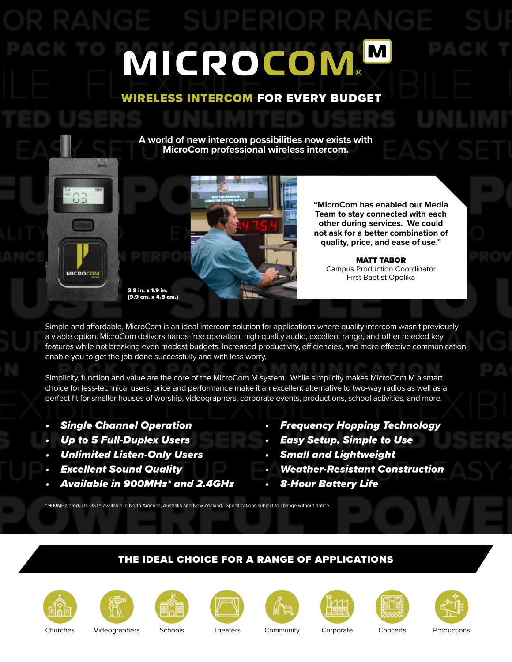# MICROCOMM

#### WIRELESS INTERCOM FOR EVERY BUDGET

**A world of new intercom possibilities now exists with MicroCom professional wireless intercom.** 





**"MicroCom has enabled our Media Team to stay connected with each other during services. We could not ask for a better combination of quality, price, and ease of use."**

MATT TABOR Campus Production Coordinator First Baptist Opelika

Simple and affordable, MicroCom is an ideal intercom solution for applications where quality intercom wasn't previously a viable option. MicroCom delivers hands-free operation, high-quality audio, excellent range, and other needed key features while not breaking even modest budgets. Increased productivity, efficiencies, and more effective communication enable you to get the job done successfully and with less worry.

Simplicity, function and value are the core of the MicroCom M system. While simplicity makes MicroCom M a smart choice for less-technical users, price and performance make it an excellent alternative to two-way radios as well as a perfect fit for smaller houses of worship, videographers, corporate events, productions, school activities, and more.

- Single Channel Operation
- Up to 5 Full-Duplex Users
- Unlimited Listen-Only Users
- **Excellent Sound Quality**
- Available in 900MHz\* and 2.4GHz

3.9 in. x 1.9 in.

- Frequency Hopping Technology
- Easy Setup, Simple to Use
- Small and Lightweight
- Weather-Resistant Construction
- 8-Hour Battery Life

#### THE IDEAL CHOICE FOR A RANGE OF APPLICATIONS







\* 900MHz products ONLY available in North America, Australia and New Zealand. Specifications subject to change without notice.











Churches Videographers Schools Theaters Community Corporate Concerts Productions